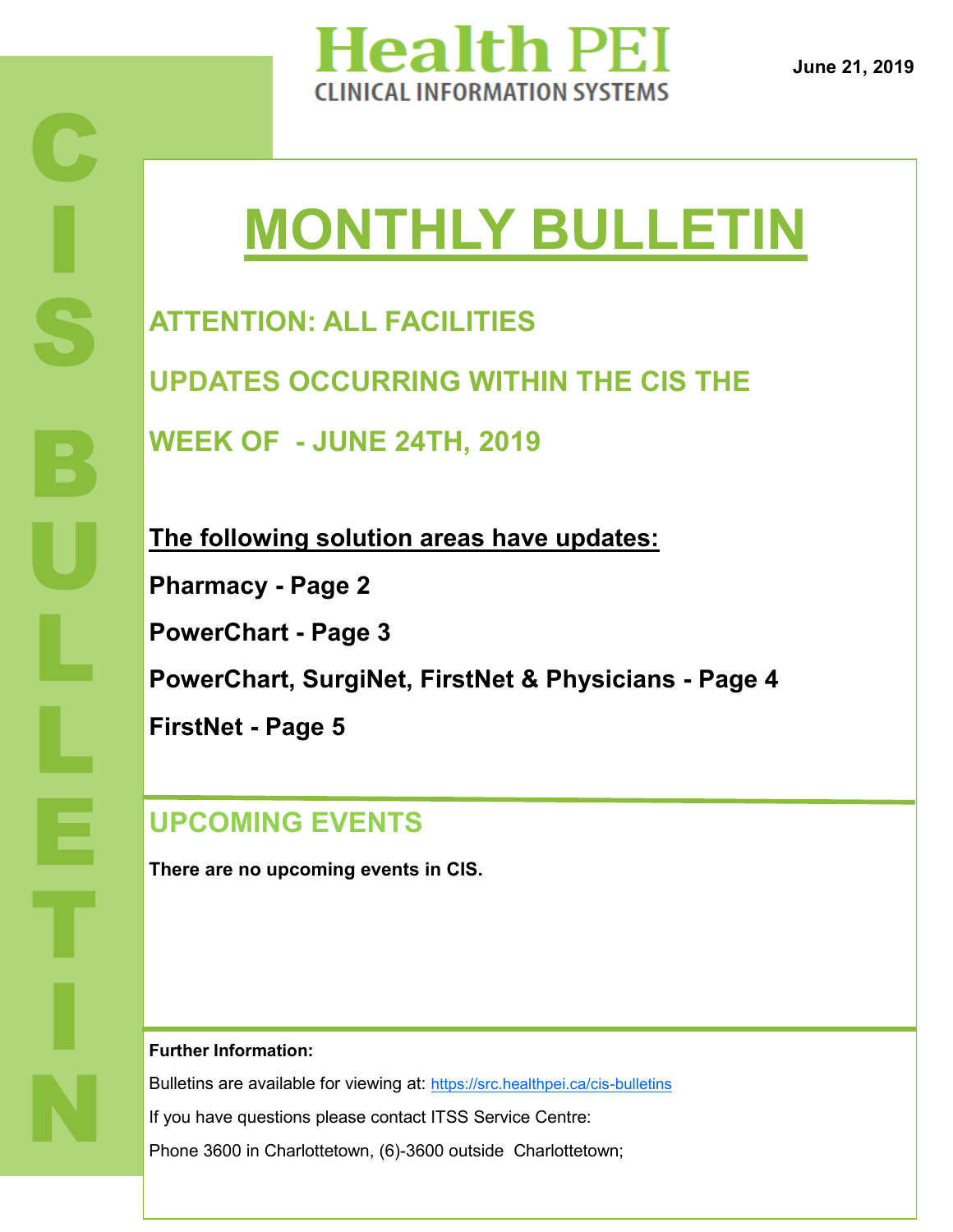

**June 21, 2019**

# **MONTHLY BULLETIN**

**ATTENTION: ALL FACILITIES UPDATES OCCURRING WITHIN THE CIS THE WEEK OF - JUNE 24TH, 2019**

**The following solution areas have updates: Pharmacy - Page 2 PowerChart - Page 3 PowerChart, SurgiNet, FirstNet & Physicians - Page 4 FirstNet - Page 5**

### **UPCOMING EVENTS**

**There are no upcoming events in CIS.** 

**Further Information:**

Bulletins are available for viewing at: [https://src.healthpei.ca/cis](https://src.healthpei.ca/cis-bulletins)-bulletins If you have questions please contact ITSS Service Centre: Phone 3600 in Charlottetown, (6)-3600 outside Charlottetown;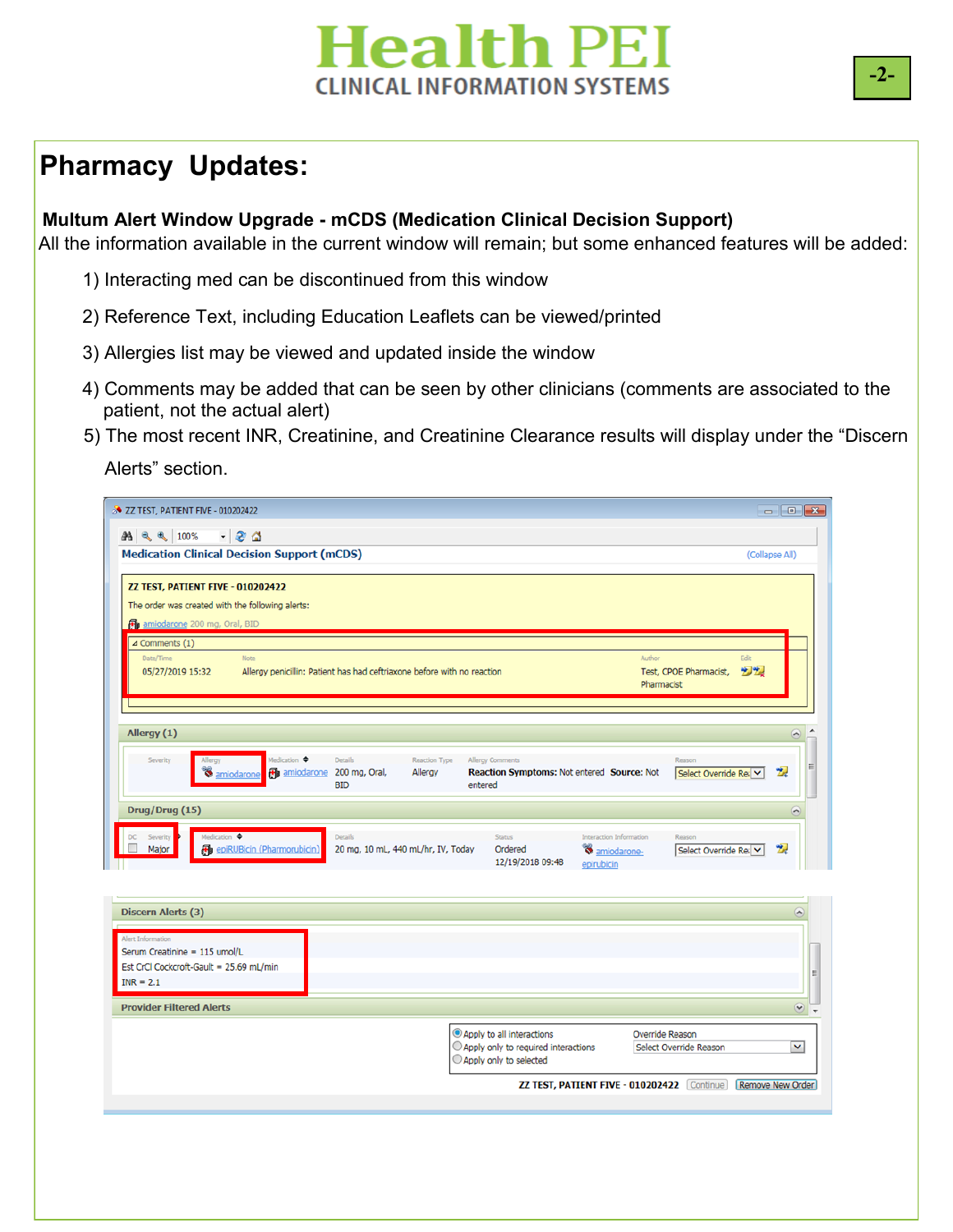**-2-**

#### **Pharmacy Updates:**

#### **Multum Alert Window Upgrade - mCDS (Medication Clinical Decision Support)**

All the information available in the current window will remain; but some enhanced features will be added:

- 1) Interacting med can be discontinued from this window
- 2) Reference Text, including Education Leaflets can be viewed/printed
- **PLAN PLAN** 3) Allergies list may be viewed and updated inside the window
	- 4) Comments may be added that can be seen by other clinicians (comments are associated to the patient, not the actual alert)
	- 5) The most recent INR, Creatinine, and Creatinine Clearance results will display under the "Discern Alerts" section.

| <b>&amp; ZZ TEST, PATIENT FIVE - 010202422</b>                           |                                                                                         |                                                                       |                                        |                               | $\begin{array}{c c c c c c} \hline \multicolumn{3}{c }{\mathbf{.}} & \multicolumn{3}{c }{\mathbf{.}} \\ \hline \multicolumn{3}{c }{\mathbf{.}} & \multicolumn{3}{c }{\mathbf{.}} \\ \multicolumn{3}{c }{\mathbf{.}} & \multicolumn{3}{c }{\mathbf{.}} \\ \multicolumn{3}{c }{\mathbf{.}} & \multicolumn{3}{c }{\mathbf{.}} \\ \multicolumn{3}{c }{\mathbf{.}} & \multicolumn{3}{c }{\mathbf{.}} \\ \multicolumn{3}{c }{\mathbf{.}} & \multicolumn{3}{c }{$ |
|--------------------------------------------------------------------------|-----------------------------------------------------------------------------------------|-----------------------------------------------------------------------|----------------------------------------|-------------------------------|------------------------------------------------------------------------------------------------------------------------------------------------------------------------------------------------------------------------------------------------------------------------------------------------------------------------------------------------------------------------------------------------------------------------------------------------------------|
| $-8a$<br><b>船 气 气</b> 100%                                               |                                                                                         |                                                                       |                                        |                               |                                                                                                                                                                                                                                                                                                                                                                                                                                                            |
| <b>Medication Clinical Decision Support (mCDS)</b>                       |                                                                                         |                                                                       |                                        |                               | (Collapse All)                                                                                                                                                                                                                                                                                                                                                                                                                                             |
|                                                                          |                                                                                         |                                                                       |                                        |                               |                                                                                                                                                                                                                                                                                                                                                                                                                                                            |
| ZZ TEST, PATIENT FIVE - 010202422                                        |                                                                                         |                                                                       |                                        |                               |                                                                                                                                                                                                                                                                                                                                                                                                                                                            |
| The order was created with the following alerts:                         |                                                                                         |                                                                       |                                        |                               |                                                                                                                                                                                                                                                                                                                                                                                                                                                            |
| amiodarone 200 mg, Oral, BID                                             |                                                                                         |                                                                       |                                        |                               |                                                                                                                                                                                                                                                                                                                                                                                                                                                            |
| $\triangle$ Comments (1)                                                 |                                                                                         |                                                                       |                                        |                               |                                                                                                                                                                                                                                                                                                                                                                                                                                                            |
| Date/Time<br>Note                                                        |                                                                                         |                                                                       | Author                                 | Fdit                          |                                                                                                                                                                                                                                                                                                                                                                                                                                                            |
| 05/27/2019 15:32                                                         | Allergy penicillin: Patient has had ceftriaxone before with no reaction                 |                                                                       | Pharmacist                             | 大地<br>Test, CPOE Pharmacist,  |                                                                                                                                                                                                                                                                                                                                                                                                                                                            |
|                                                                          |                                                                                         |                                                                       |                                        |                               |                                                                                                                                                                                                                                                                                                                                                                                                                                                            |
|                                                                          |                                                                                         |                                                                       |                                        |                               |                                                                                                                                                                                                                                                                                                                                                                                                                                                            |
| Allergy (1)                                                              |                                                                                         |                                                                       |                                        |                               | $\blacktriangle$                                                                                                                                                                                                                                                                                                                                                                                                                                           |
|                                                                          |                                                                                         |                                                                       |                                        |                               |                                                                                                                                                                                                                                                                                                                                                                                                                                                            |
| Medication $\spadesuit$<br>Severity<br>Allergy<br><b>S</b> amiodarone    | <b>Details</b><br><b>Reaction Type</b><br><b>Fo</b> amiodarone 200 mg, Oral,<br>Allergy | <b>Allergy Comments</b><br>Reaction Symptoms: Not entered Source: Not |                                        | Reason<br>Select Override Rea | Ξ<br>懐                                                                                                                                                                                                                                                                                                                                                                                                                                                     |
|                                                                          | <b>BID</b>                                                                              | entered                                                               |                                        |                               |                                                                                                                                                                                                                                                                                                                                                                                                                                                            |
| Drug/Drug (15)                                                           |                                                                                         |                                                                       |                                        |                               | $\overline{\phantom{a}}$                                                                                                                                                                                                                                                                                                                                                                                                                                   |
|                                                                          |                                                                                         |                                                                       |                                        |                               |                                                                                                                                                                                                                                                                                                                                                                                                                                                            |
| Medication $\triangleq$<br>Severity<br>Major                             | <b>Details</b><br>20 mg, 10 mL, 440 mL/hr, IV, Today                                    | Status<br>Ordered                                                     | Interaction Information                | Reason                        | $\mathbf{z}$                                                                                                                                                                                                                                                                                                                                                                                                                                               |
| <b>B</b> epiRUBicin (Pharmorubicin)                                      |                                                                                         | 12/19/2018 09:48                                                      | <sup>8</sup> amiodarone-<br>epirubicin | Select Override Reav          |                                                                                                                                                                                                                                                                                                                                                                                                                                                            |
|                                                                          |                                                                                         |                                                                       |                                        |                               |                                                                                                                                                                                                                                                                                                                                                                                                                                                            |
|                                                                          |                                                                                         |                                                                       |                                        |                               |                                                                                                                                                                                                                                                                                                                                                                                                                                                            |
| Discern Alerts (3)                                                       |                                                                                         |                                                                       |                                        |                               | $\left( \right.$                                                                                                                                                                                                                                                                                                                                                                                                                                           |
|                                                                          |                                                                                         |                                                                       |                                        |                               |                                                                                                                                                                                                                                                                                                                                                                                                                                                            |
| Alert Information                                                        |                                                                                         |                                                                       |                                        |                               |                                                                                                                                                                                                                                                                                                                                                                                                                                                            |
| Serum Creatinine = 115 umol/L<br>Est CrCl Cockcroft-Gault = 25.69 mL/min |                                                                                         |                                                                       |                                        |                               |                                                                                                                                                                                                                                                                                                                                                                                                                                                            |
| $INR = 2.1$                                                              |                                                                                         |                                                                       |                                        |                               | $\equiv$                                                                                                                                                                                                                                                                                                                                                                                                                                                   |
|                                                                          |                                                                                         |                                                                       |                                        |                               |                                                                                                                                                                                                                                                                                                                                                                                                                                                            |
| <b>Provider Filtered Alerts</b>                                          |                                                                                         |                                                                       |                                        |                               | $\rm\sim$                                                                                                                                                                                                                                                                                                                                                                                                                                                  |

Apply to all interactions

Apply only to selected

 $\bigcirc$  Apply only to required interactions

Override Reason

ZZ TEST, PATIENT FIVE - 010202422 Continue Remove New Order

Select Override Reason

⊻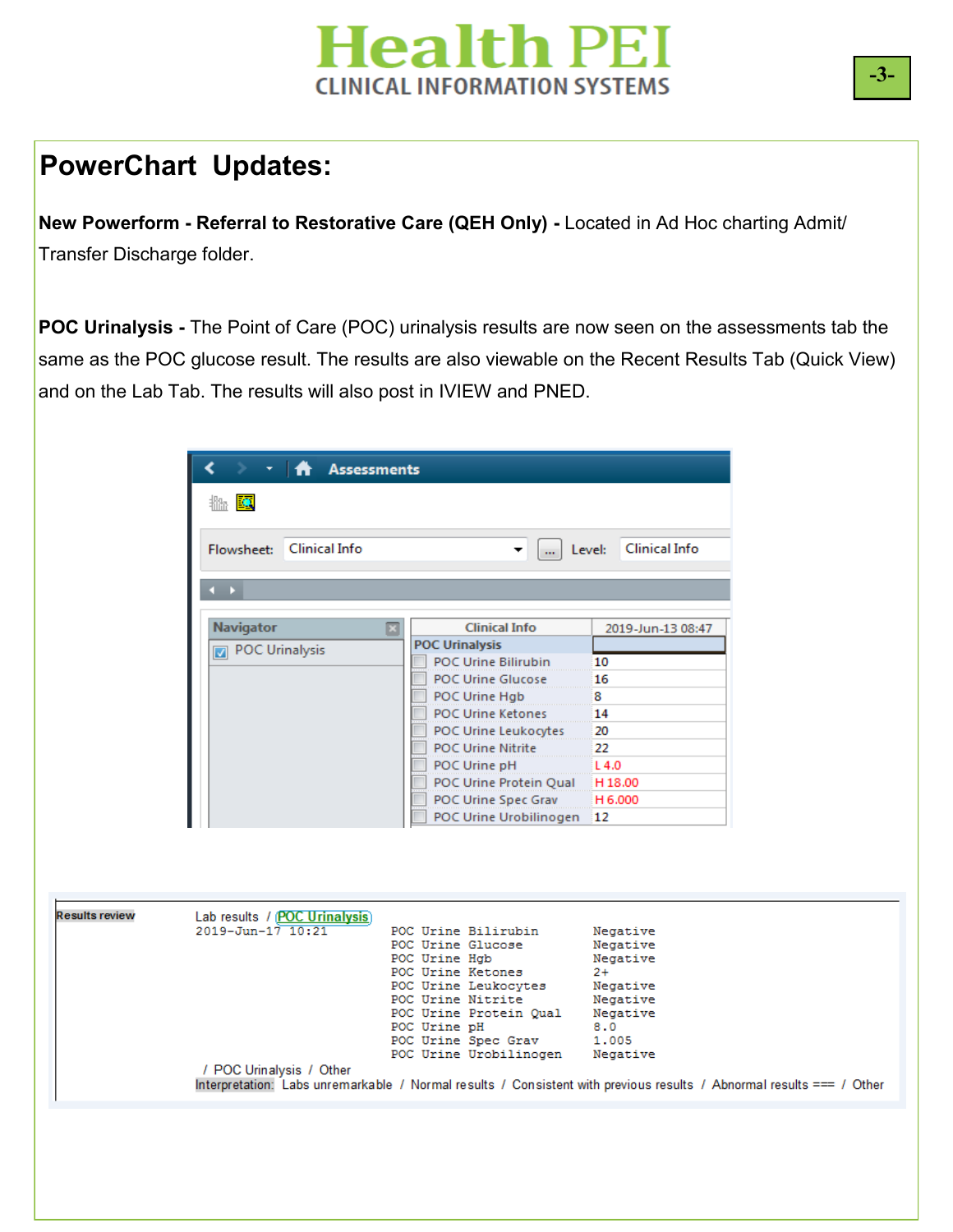#### **PowerChart Updates:**

Results

**New Powerform - Referral to Restorative Care (QEH Only) -** Located in Ad Hoc charting Admit/ Transfer Discharge folder.

**IVIEW IMPLEMENTATION** and on the Lab Tab. The results will also post in IVIEW and PNED. **POC Urinalysis -** The Point of Care (POC) urinalysis results are now seen on the assessments tab the same as the POC glucose result. The results are also viewable on the Recent Results Tab (Quick View)

|                                      | $\cdot$ $\mathbf{\hat{m}}$ Assessments                                                                               |                                                                                                                                                                                                                                                                                                                       |                                                                          |  |
|--------------------------------------|----------------------------------------------------------------------------------------------------------------------|-----------------------------------------------------------------------------------------------------------------------------------------------------------------------------------------------------------------------------------------------------------------------------------------------------------------------|--------------------------------------------------------------------------|--|
| $\mathbb{R}$ $\overline{\mathbb{R}}$ |                                                                                                                      |                                                                                                                                                                                                                                                                                                                       |                                                                          |  |
| Flowsheet:                           | <b>Clinical Info</b>                                                                                                 | ▼.<br>$\mathbf{m}$                                                                                                                                                                                                                                                                                                    | <b>Clinical Info</b><br>Level:                                           |  |
| $\leftarrow$                         |                                                                                                                      |                                                                                                                                                                                                                                                                                                                       |                                                                          |  |
| <b>Navigator</b><br>POC Urinalysis   | ⊡                                                                                                                    | <b>Clinical Info</b><br><b>POC Urinalysis</b><br><b>POC Urine Bilirubin</b><br><b>POC Urine Glucose</b><br>POC Urine Hgb<br><b>POC Urine Ketones</b><br><b>POC Urine Leukocytes</b><br><b>POC Urine Nitrite</b><br>POC Urine pH<br>POC Urine Protein Qual H 18.00<br>POC Urine Spec Grav<br>POC Urine Urobilinogen 12 | 2019-Jun-13 08:47<br>10<br>16<br>8<br>14<br>20<br>22<br>L 4.0<br>H 6.000 |  |
| $2019 - Jun - 17$ $10:21$            | Lab results / (POC Urinalysis)                                                                                       | POC Urine Bilirubin<br>POC Urine Glucose<br>POC Urine Hgb                                                                                                                                                                                                                                                             | Negative<br>Negative<br>Negative                                         |  |
|                                      |                                                                                                                      | POC Urine Ketones<br>POC Urine Leukocytes<br>POC Urine Nitrite<br>POC Urine Protein Qual<br>POC Urine pH<br>POC Urine Spec Grav                                                                                                                                                                                       | $2+$<br>Negative<br>Negative<br>Negative<br>8.0<br>1.005                 |  |
| / POC Urinalysis / Other             | Interpretation: Labs unremarkable / Normal results / Consistent with previous results / Abnormal results === / Other | POC Urine Urobilinogen                                                                                                                                                                                                                                                                                                | Negative                                                                 |  |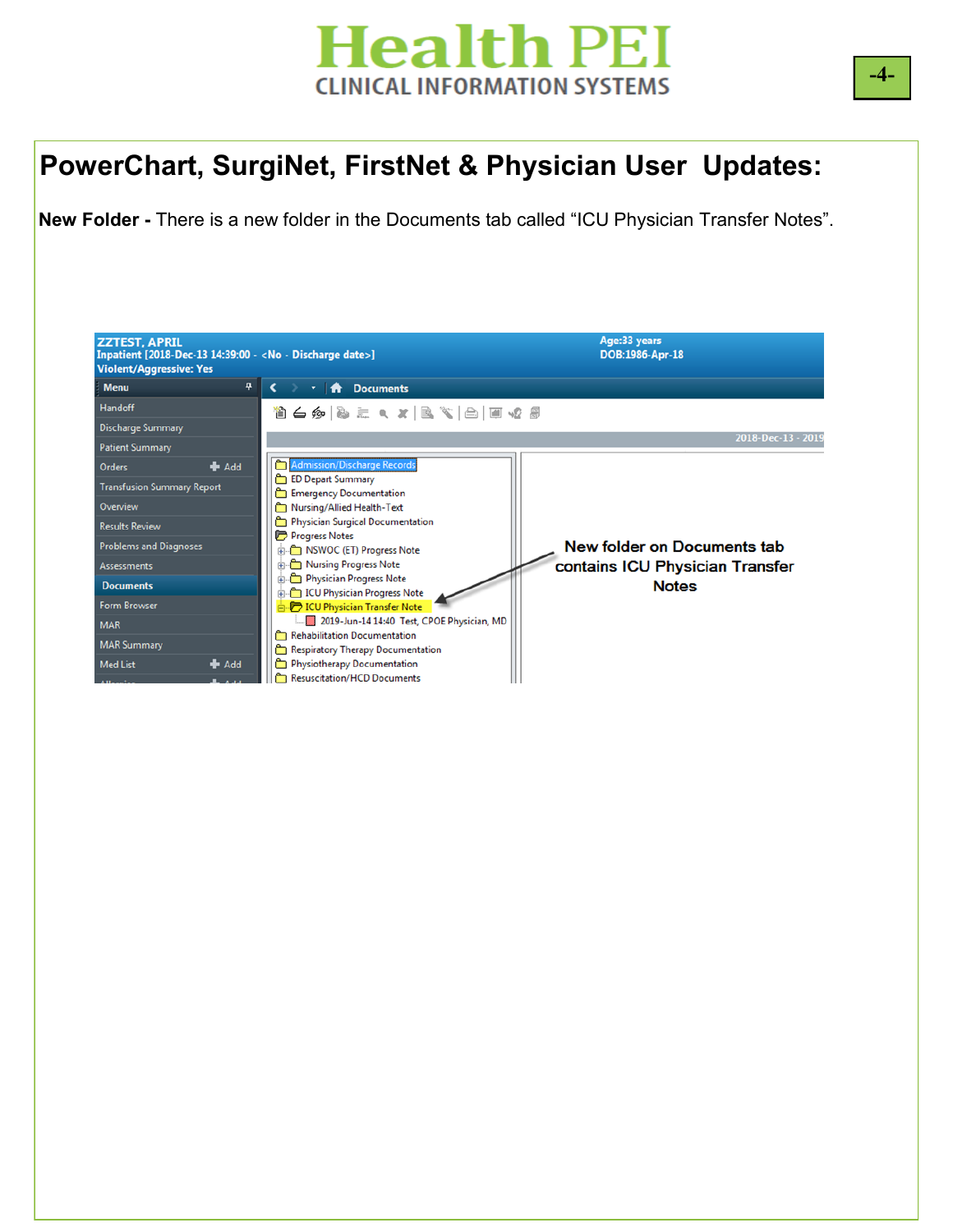#### **PowerChart, SurgiNet, FirstNet & Physician User Updates:**

**New Folder -** There is a new folder in the Documents tab called "ICU Physician Transfer Notes".